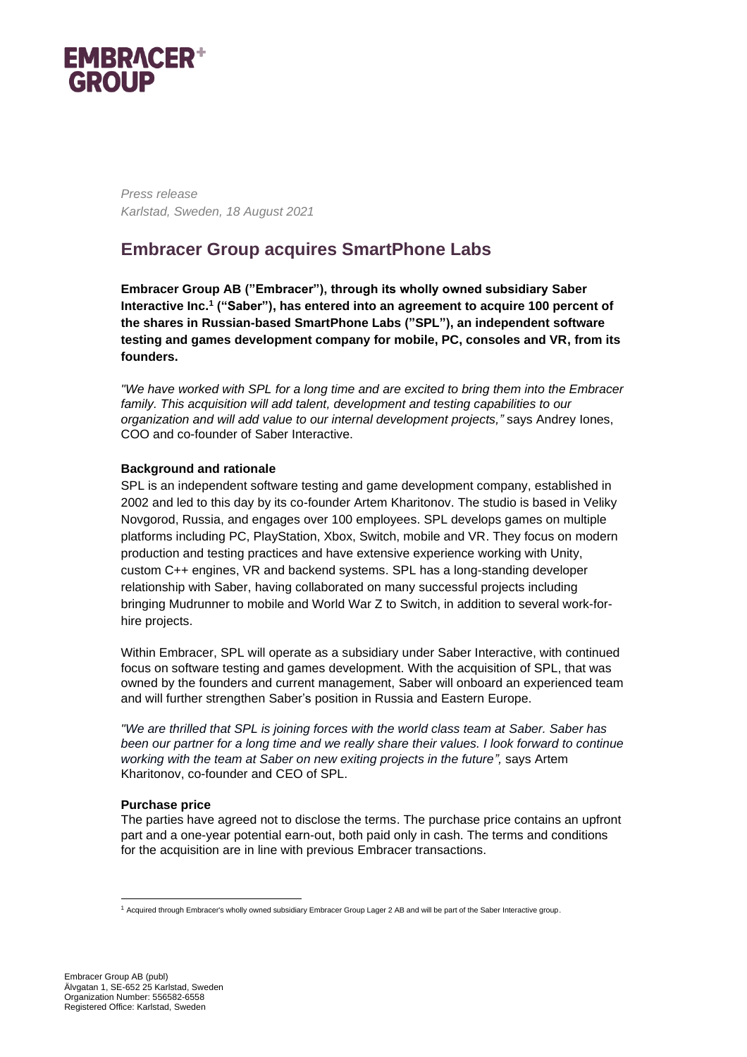

*Press release Karlstad, Sweden, 18 August 2021*

# **Embracer Group acquires SmartPhone Labs**

**Embracer Group AB ("Embracer"), through its wholly owned subsidiary Saber Interactive Inc.<sup>1</sup> ("Saber"), has entered into an agreement to acquire 100 percent of the shares in Russian-based SmartPhone Labs ("SPL"), an independent software testing and games development company for mobile, PC, consoles and VR, from its founders.** 

*"We have worked with SPL for a long time and are excited to bring them into the Embracer family. This acquisition will add talent, development and testing capabilities to our organization and will add value to our internal development projects,"* says Andrey Iones, COO and co-founder of Saber Interactive.

# **Background and rationale**

SPL is an independent software testing and game development company, established in 2002 and led to this day by its co-founder Artem Kharitonov. The studio is based in Veliky Novgorod, Russia, and engages over 100 employees. SPL develops games on multiple platforms including PC, PlayStation, Xbox, Switch, mobile and VR. They focus on modern production and testing practices and have extensive experience working with Unity, custom C++ engines, VR and backend systems. SPL has a long-standing developer relationship with Saber, having collaborated on many successful projects including bringing Mudrunner to mobile and World War Z to Switch, in addition to several work-forhire projects.

Within Embracer, SPL will operate as a subsidiary under Saber Interactive, with continued focus on software testing and games development. With the acquisition of SPL, that was owned by the founders and current management, Saber will onboard an experienced team and will further strengthen Saber's position in Russia and Eastern Europe.

*"We are thrilled that SPL is joining forces with the world class team at Saber. Saber has been our partner for a long time and we really share their values. I look forward to continue working with the team at Saber on new exiting projects in the future",* says Artem Kharitonov, co-founder and CEO of SPL.

#### **Purchase price**

The parties have agreed not to disclose the terms. The purchase price contains an upfront part and a one-year potential earn-out, both paid only in cash. The terms and conditions for the acquisition are in line with previous Embracer transactions.

<sup>1</sup> Acquired through Embracer's wholly owned subsidiary Embracer Group Lager 2 AB and will be part of the Saber Interactive group.